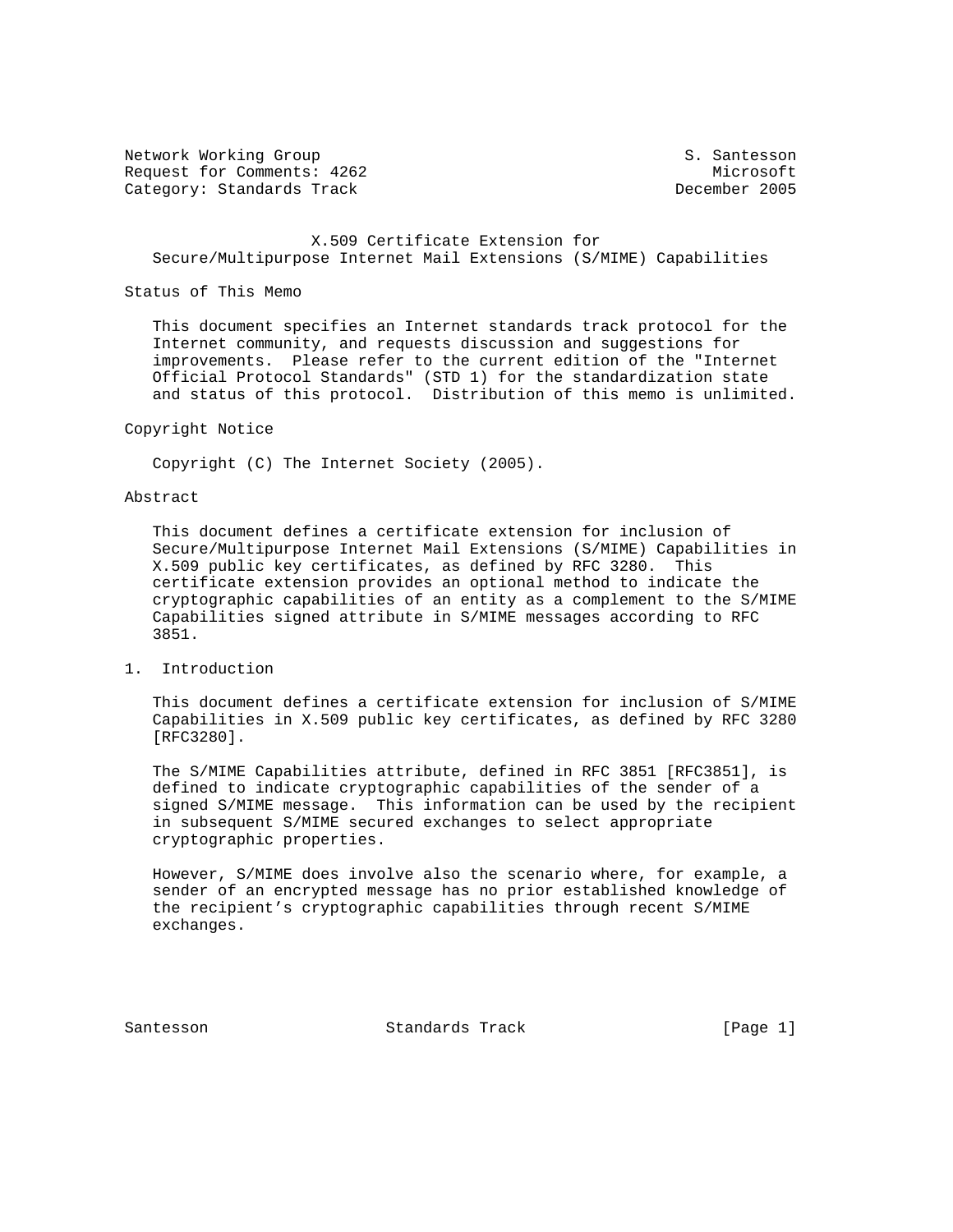Network Working Group S. Santesson Request for Comments: 4262 Microsoft Category: Standards Track

### X.509 Certificate Extension for Secure/Multipurpose Internet Mail Extensions (S/MIME) Capabilities

#### Status of This Memo

 This document specifies an Internet standards track protocol for the Internet community, and requests discussion and suggestions for improvements. Please refer to the current edition of the "Internet Official Protocol Standards" (STD 1) for the standardization state and status of this protocol. Distribution of this memo is unlimited.

#### Copyright Notice

Copyright (C) The Internet Society (2005).

## Abstract

 This document defines a certificate extension for inclusion of Secure/Multipurpose Internet Mail Extensions (S/MIME) Capabilities in X.509 public key certificates, as defined by RFC 3280. This certificate extension provides an optional method to indicate the cryptographic capabilities of an entity as a complement to the S/MIME Capabilities signed attribute in S/MIME messages according to RFC 3851.

# 1. Introduction

 This document defines a certificate extension for inclusion of S/MIME Capabilities in X.509 public key certificates, as defined by RFC 3280 [RFC3280].

 The S/MIME Capabilities attribute, defined in RFC 3851 [RFC3851], is defined to indicate cryptographic capabilities of the sender of a signed S/MIME message. This information can be used by the recipient in subsequent S/MIME secured exchanges to select appropriate cryptographic properties.

 However, S/MIME does involve also the scenario where, for example, a sender of an encrypted message has no prior established knowledge of the recipient's cryptographic capabilities through recent S/MIME exchanges.

Santesson Standards Track [Page 1]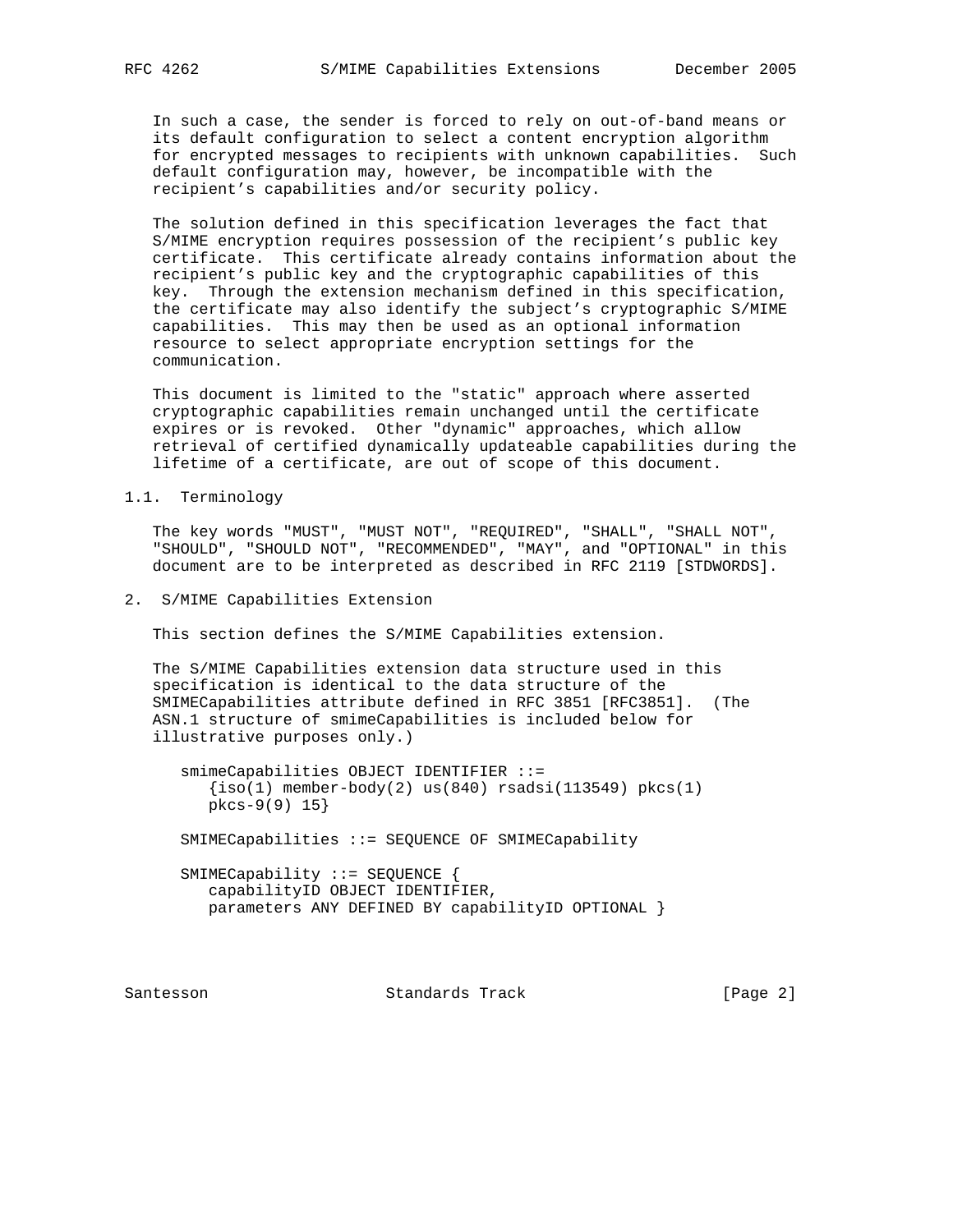In such a case, the sender is forced to rely on out-of-band means or its default configuration to select a content encryption algorithm for encrypted messages to recipients with unknown capabilities. Such default configuration may, however, be incompatible with the recipient's capabilities and/or security policy.

 The solution defined in this specification leverages the fact that S/MIME encryption requires possession of the recipient's public key certificate. This certificate already contains information about the recipient's public key and the cryptographic capabilities of this key. Through the extension mechanism defined in this specification, the certificate may also identify the subject's cryptographic S/MIME capabilities. This may then be used as an optional information resource to select appropriate encryption settings for the communication.

 This document is limited to the "static" approach where asserted cryptographic capabilities remain unchanged until the certificate expires or is revoked. Other "dynamic" approaches, which allow retrieval of certified dynamically updateable capabilities during the lifetime of a certificate, are out of scope of this document.

1.1. Terminology

 The key words "MUST", "MUST NOT", "REQUIRED", "SHALL", "SHALL NOT", "SHOULD", "SHOULD NOT", "RECOMMENDED", "MAY", and "OPTIONAL" in this document are to be interpreted as described in RFC 2119 [STDWORDS].

2. S/MIME Capabilities Extension

This section defines the S/MIME Capabilities extension.

 The S/MIME Capabilities extension data structure used in this specification is identical to the data structure of the SMIMECapabilities attribute defined in RFC 3851 [RFC3851]. (The ASN.1 structure of smimeCapabilities is included below for illustrative purposes only.)

 smimeCapabilities OBJECT IDENTIFIER ::=  $\{iso(1)$  member-body(2) us(840) rsadsi(113549) pkcs(1) pkcs-9(9) 15}

SMIMECapabilities ::= SEQUENCE OF SMIMECapability

 SMIMECapability ::= SEQUENCE { capabilityID OBJECT IDENTIFIER, parameters ANY DEFINED BY capabilityID OPTIONAL }

Santesson **Standards Track** [Page 2]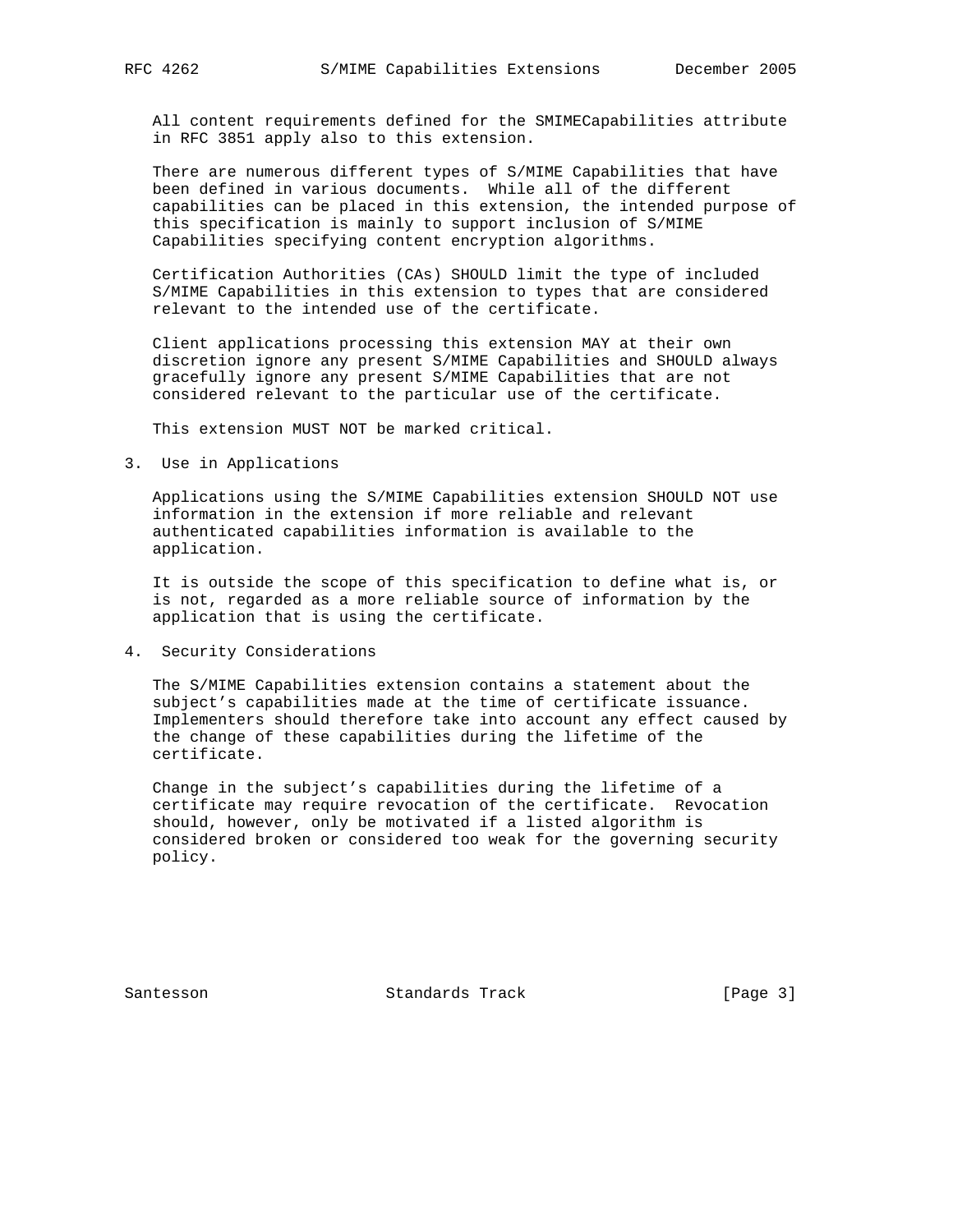All content requirements defined for the SMIMECapabilities attribute in RFC 3851 apply also to this extension.

 There are numerous different types of S/MIME Capabilities that have been defined in various documents. While all of the different capabilities can be placed in this extension, the intended purpose of this specification is mainly to support inclusion of S/MIME Capabilities specifying content encryption algorithms.

 Certification Authorities (CAs) SHOULD limit the type of included S/MIME Capabilities in this extension to types that are considered relevant to the intended use of the certificate.

 Client applications processing this extension MAY at their own discretion ignore any present S/MIME Capabilities and SHOULD always gracefully ignore any present S/MIME Capabilities that are not considered relevant to the particular use of the certificate.

This extension MUST NOT be marked critical.

3. Use in Applications

 Applications using the S/MIME Capabilities extension SHOULD NOT use information in the extension if more reliable and relevant authenticated capabilities information is available to the application.

 It is outside the scope of this specification to define what is, or is not, regarded as a more reliable source of information by the application that is using the certificate.

4. Security Considerations

 The S/MIME Capabilities extension contains a statement about the subject's capabilities made at the time of certificate issuance. Implementers should therefore take into account any effect caused by the change of these capabilities during the lifetime of the certificate.

 Change in the subject's capabilities during the lifetime of a certificate may require revocation of the certificate. Revocation should, however, only be motivated if a listed algorithm is considered broken or considered too weak for the governing security policy.

Santesson Standards Track [Page 3]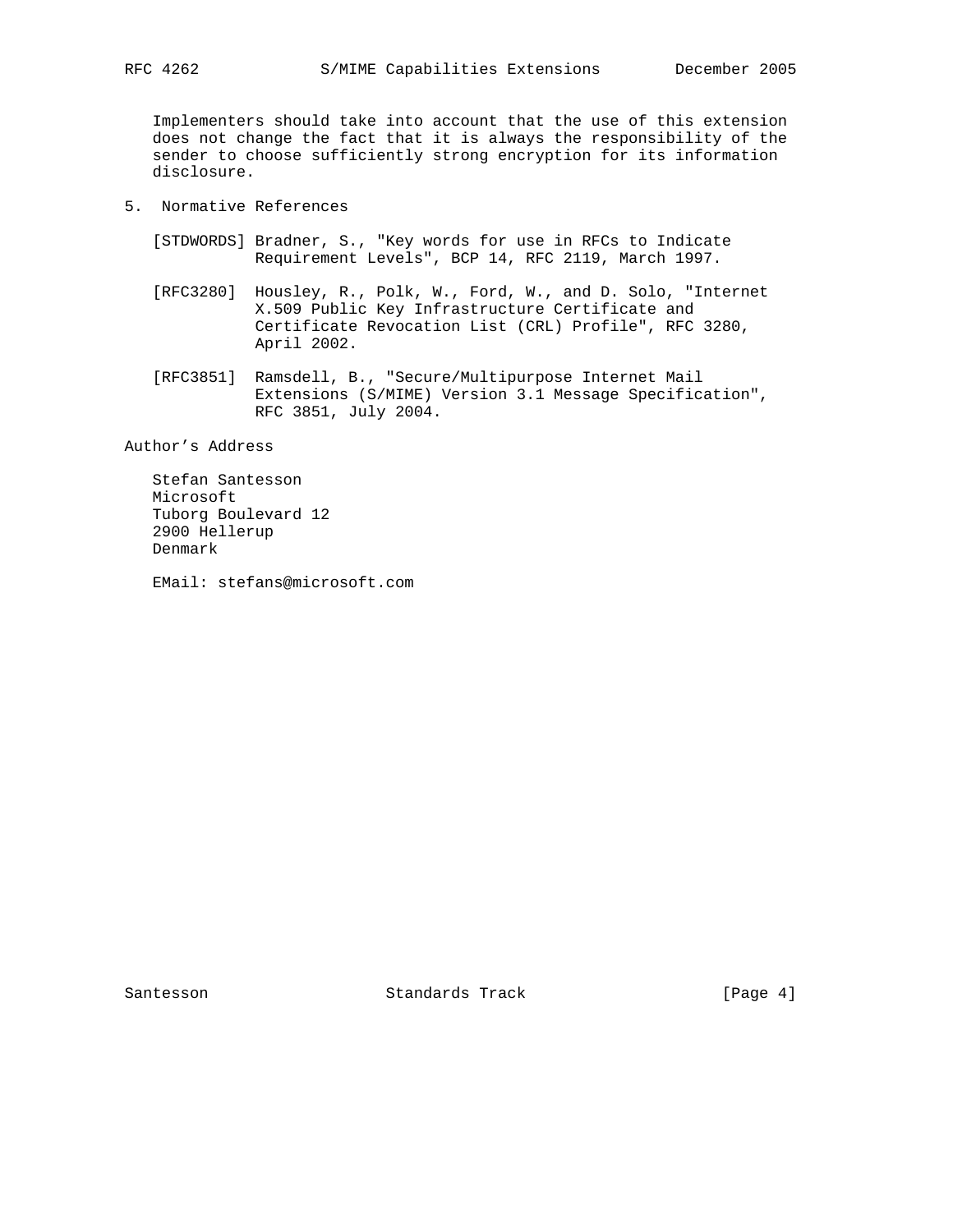Implementers should take into account that the use of this extension does not change the fact that it is always the responsibility of the sender to choose sufficiently strong encryption for its information disclosure.

- 5. Normative References
	- [STDWORDS] Bradner, S., "Key words for use in RFCs to Indicate Requirement Levels", BCP 14, RFC 2119, March 1997.
	- [RFC3280] Housley, R., Polk, W., Ford, W., and D. Solo, "Internet X.509 Public Key Infrastructure Certificate and Certificate Revocation List (CRL) Profile", RFC 3280, April 2002.
	- [RFC3851] Ramsdell, B., "Secure/Multipurpose Internet Mail Extensions (S/MIME) Version 3.1 Message Specification", RFC 3851, July 2004.

Author's Address

 Stefan Santesson Microsoft Tuborg Boulevard 12 2900 Hellerup Denmark

EMail: stefans@microsoft.com

Santesson Standards Track [Page 4]